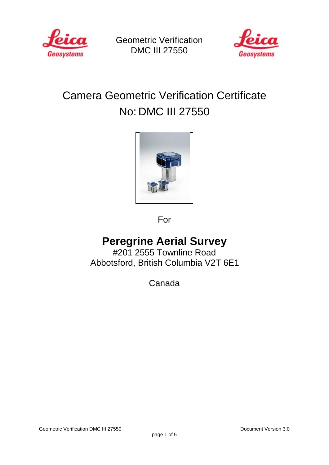

Geometric Verification DMC III 27550



# Camera Geometric Verification Certificate No: DMC III 27550



For

## **Peregrine Aerial Survey**

#201 2555 Townline Road Abbotsford, British Columbia V2T 6E1

Canada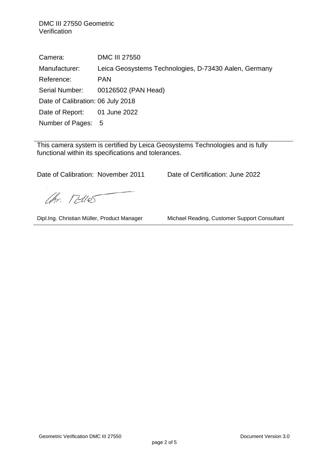DMC III 27550 Geometric **Verification** 

Camera: DMC III 27550 Manufacturer: Leica Geosystems Technologies, D-73430 Aalen, Germany Reference: PAN Serial Number: 00126502 (PAN Head) Date of Calibration: 06 July 2018 Date of Report: 01 June 2022 Number of Pages: 5

This camera system is certified by Leica Geosystems Technologies and is fully functional within its specifications and tolerances.

Date of Calibration: November 2011 Date of Certification: June 2022

Ohr. Telles

Dipl.Ing. Christian Müller, Product Manager Michael Reading, Customer Support Consultant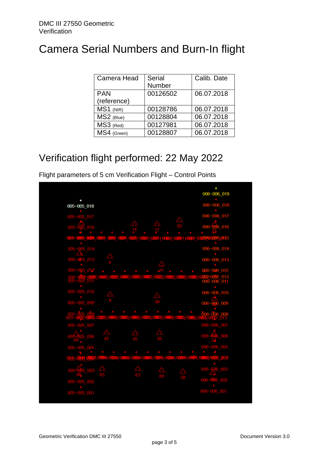# Camera Serial Numbers and Burn-In flight

| Camera Head | <b>Serial</b> | Calib. Date |
|-------------|---------------|-------------|
|             | Number        |             |
| <b>PAN</b>  | 00126502      | 06.07.2018  |
| (reference) |               |             |
| MS1 (NIR)   | 00128786      | 06.07.2018  |
| MS2 (Blue)  | 00128804      | 06.07.2018  |
| MS3 (Red)   | 00127981      | 06.07.2018  |
| MS4 (Green) | 00128807      | 06.07.2018  |

### Verification flight performed: 22 May 2022

Flight parameters of 5 cm Verification Flight – Control Points

|                   |                                     |  | 006~006_019                                                            |
|-------------------|-------------------------------------|--|------------------------------------------------------------------------|
| 005~005_018       |                                     |  | $006 - 006 - 018$                                                      |
|                   |                                     |  |                                                                        |
| $005 - 005 - 017$ |                                     |  | 006~006_017                                                            |
|                   |                                     |  |                                                                        |
| 005               |                                     |  | $006 -$<br>06_016                                                      |
|                   |                                     |  |                                                                        |
|                   |                                     |  |                                                                        |
|                   |                                     |  | 006~006 014                                                            |
| 005~005_014       |                                     |  |                                                                        |
| 005~005_013       |                                     |  | $006 - 006 - 013$                                                      |
|                   |                                     |  |                                                                        |
| 005~005_012       |                                     |  | 006~006 012                                                            |
|                   |                                     |  | 013_0002_00002_00002_00002_00002_01002_01002_01002_013_<br>006~006_011 |
| 005-005-011       |                                     |  |                                                                        |
|                   |                                     |  |                                                                        |
| 005~005_010       |                                     |  | $006 - 006 010$                                                        |
| $005 - 005 - 009$ |                                     |  | 006-006 009                                                            |
|                   |                                     |  |                                                                        |
|                   |                                     |  | 006~006 008                                                            |
|                   | <b>EDITORIALS EDITORISE DO 1708</b> |  | <u>1003-011283-011083-011083-011083-01128 -</u> 013                    |
| 005~005_007       |                                     |  | 006~006_007                                                            |
|                   |                                     |  |                                                                        |
| 005-005_006       |                                     |  | 006~906_006                                                            |
|                   |                                     |  | $006 - 006$ 005                                                        |
| $005 - 005$ 005   |                                     |  |                                                                        |
|                   |                                     |  | <b>MC44004 018</b>                                                     |
|                   |                                     |  |                                                                        |
| $\_003$<br>005    |                                     |  | $006 - 006 - 003$                                                      |
|                   |                                     |  |                                                                        |
| $005 - 005 - 002$ |                                     |  | $006 - 566 - 002$                                                      |
|                   |                                     |  |                                                                        |
| $005 - 005 - 001$ |                                     |  | 006~006_001                                                            |
|                   |                                     |  |                                                                        |
|                   |                                     |  |                                                                        |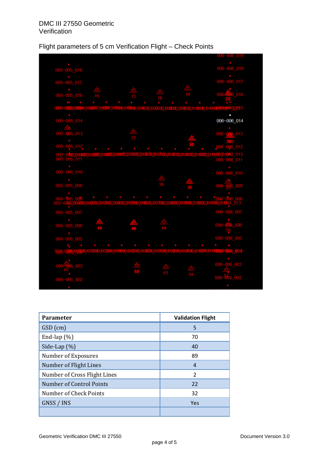### Flight parameters of 5 cm Verification Flight – Check Points

| $006 - 006 - 018$<br>$005 - 005 - 018$<br>006~006_017<br>005~005_017<br>$005 - 005 - 016$<br>006<br>$-016$<br>0005-000<br><b>EXPLICATE</b><br>005~005_014<br>006~006_014<br>$005 - 005 - 013$<br>~0082000<br>~005_011<br>$005 - 005 - 010$<br>$006 - 006 - 010$<br>$005 - 005 - 009$<br>$006 -$<br>$_{009}$<br>O<br>$^{\circ}006 -$<br>$005 - 005$ $003$<br>UDIO SED OBECH DIO CHEMORE<br>006~006_007<br>005~005_007<br>$005 - 005 - 006$<br>006<br>006<br>$006 - 006 - 005$<br>$005 - 005 - 005$<br><b>DO3_008</b><br>006~006_003<br>$\overline{003}$<br>006~006_002<br>$005 - 005 - 002$ |  |  | 006~006_019 |
|--------------------------------------------------------------------------------------------------------------------------------------------------------------------------------------------------------------------------------------------------------------------------------------------------------------------------------------------------------------------------------------------------------------------------------------------------------------------------------------------------------------------------------------------------------------------------------------------|--|--|-------------|
|                                                                                                                                                                                                                                                                                                                                                                                                                                                                                                                                                                                            |  |  |             |
|                                                                                                                                                                                                                                                                                                                                                                                                                                                                                                                                                                                            |  |  |             |
|                                                                                                                                                                                                                                                                                                                                                                                                                                                                                                                                                                                            |  |  |             |
|                                                                                                                                                                                                                                                                                                                                                                                                                                                                                                                                                                                            |  |  |             |
|                                                                                                                                                                                                                                                                                                                                                                                                                                                                                                                                                                                            |  |  |             |
|                                                                                                                                                                                                                                                                                                                                                                                                                                                                                                                                                                                            |  |  |             |
|                                                                                                                                                                                                                                                                                                                                                                                                                                                                                                                                                                                            |  |  |             |
|                                                                                                                                                                                                                                                                                                                                                                                                                                                                                                                                                                                            |  |  |             |
|                                                                                                                                                                                                                                                                                                                                                                                                                                                                                                                                                                                            |  |  |             |
|                                                                                                                                                                                                                                                                                                                                                                                                                                                                                                                                                                                            |  |  |             |
|                                                                                                                                                                                                                                                                                                                                                                                                                                                                                                                                                                                            |  |  |             |
|                                                                                                                                                                                                                                                                                                                                                                                                                                                                                                                                                                                            |  |  |             |
|                                                                                                                                                                                                                                                                                                                                                                                                                                                                                                                                                                                            |  |  |             |
|                                                                                                                                                                                                                                                                                                                                                                                                                                                                                                                                                                                            |  |  |             |
|                                                                                                                                                                                                                                                                                                                                                                                                                                                                                                                                                                                            |  |  |             |
|                                                                                                                                                                                                                                                                                                                                                                                                                                                                                                                                                                                            |  |  |             |
|                                                                                                                                                                                                                                                                                                                                                                                                                                                                                                                                                                                            |  |  |             |
|                                                                                                                                                                                                                                                                                                                                                                                                                                                                                                                                                                                            |  |  |             |
|                                                                                                                                                                                                                                                                                                                                                                                                                                                                                                                                                                                            |  |  |             |
|                                                                                                                                                                                                                                                                                                                                                                                                                                                                                                                                                                                            |  |  |             |
|                                                                                                                                                                                                                                                                                                                                                                                                                                                                                                                                                                                            |  |  |             |
|                                                                                                                                                                                                                                                                                                                                                                                                                                                                                                                                                                                            |  |  |             |
|                                                                                                                                                                                                                                                                                                                                                                                                                                                                                                                                                                                            |  |  |             |
|                                                                                                                                                                                                                                                                                                                                                                                                                                                                                                                                                                                            |  |  |             |
|                                                                                                                                                                                                                                                                                                                                                                                                                                                                                                                                                                                            |  |  |             |
|                                                                                                                                                                                                                                                                                                                                                                                                                                                                                                                                                                                            |  |  |             |
|                                                                                                                                                                                                                                                                                                                                                                                                                                                                                                                                                                                            |  |  |             |
|                                                                                                                                                                                                                                                                                                                                                                                                                                                                                                                                                                                            |  |  |             |
|                                                                                                                                                                                                                                                                                                                                                                                                                                                                                                                                                                                            |  |  |             |
|                                                                                                                                                                                                                                                                                                                                                                                                                                                                                                                                                                                            |  |  |             |
|                                                                                                                                                                                                                                                                                                                                                                                                                                                                                                                                                                                            |  |  |             |
|                                                                                                                                                                                                                                                                                                                                                                                                                                                                                                                                                                                            |  |  |             |
|                                                                                                                                                                                                                                                                                                                                                                                                                                                                                                                                                                                            |  |  |             |
|                                                                                                                                                                                                                                                                                                                                                                                                                                                                                                                                                                                            |  |  |             |
|                                                                                                                                                                                                                                                                                                                                                                                                                                                                                                                                                                                            |  |  |             |
|                                                                                                                                                                                                                                                                                                                                                                                                                                                                                                                                                                                            |  |  |             |
|                                                                                                                                                                                                                                                                                                                                                                                                                                                                                                                                                                                            |  |  |             |

| <b>Parameter</b>                | <b>Validation Flight</b> |
|---------------------------------|--------------------------|
| GSD (cm)                        | 5                        |
| End-lap $(\%)$                  | 70                       |
| Side-Lap $(\%)$                 | 40                       |
| Number of Exposures             | 89                       |
| Number of Flight Lines          | 4                        |
| Number of Cross Flight Lines    | $\mathcal{P}$            |
| <b>Number of Control Points</b> | 22                       |
| Number of Check Points          | 32                       |
| GNSS / INS                      | Yes                      |
|                                 |                          |